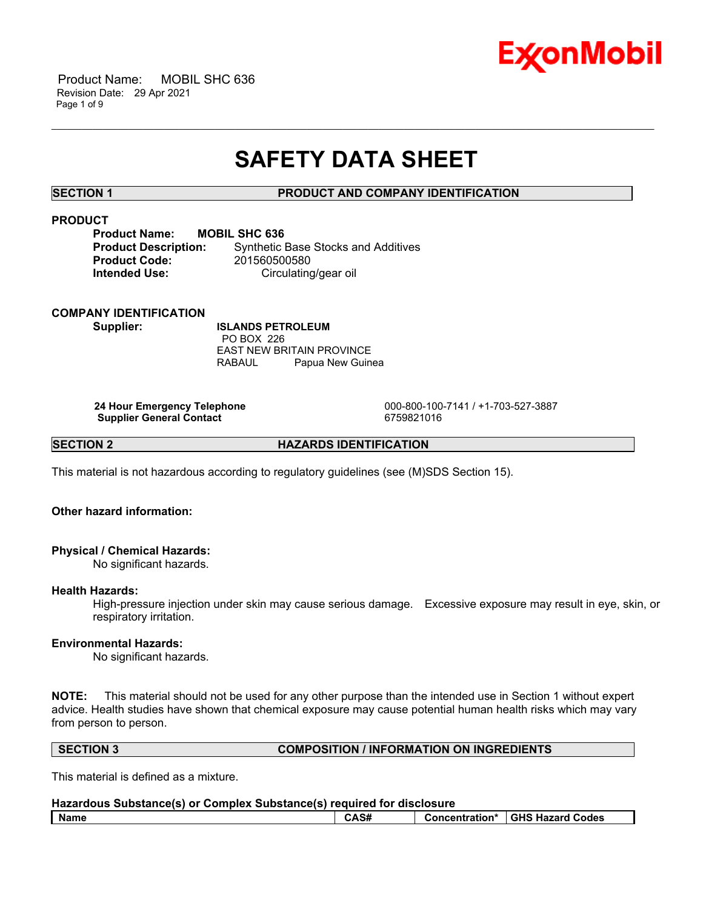

 Product Name: MOBIL SHC 636 Revision Date: 29 Apr 2021 Page 1 of 9

# **SAFETY DATA SHEET**

\_\_\_\_\_\_\_\_\_\_\_\_\_\_\_\_\_\_\_\_\_\_\_\_\_\_\_\_\_\_\_\_\_\_\_\_\_\_\_\_\_\_\_\_\_\_\_\_\_\_\_\_\_\_\_\_\_\_\_\_\_\_\_\_\_\_\_\_\_\_\_\_\_\_\_\_\_\_\_\_\_\_\_\_\_\_\_\_\_\_\_\_\_\_\_\_\_\_\_\_\_\_\_\_\_\_\_\_\_\_\_\_\_\_\_\_\_\_

# **SECTION 1 PRODUCT AND COMPANY IDENTIFICATION**

# **PRODUCT**

| <b>Product Name:</b>        | МC |
|-----------------------------|----|
| <b>Product Description:</b> |    |
| <b>Product Code:</b>        |    |
| <b>Intended Use:</b>        |    |

**PRIL SHC 636 Synthetic Base Stocks and Additives Product Code:** 201560500580 **Circulating/gear oil** 

## **COMPANY IDENTIFICATION**

**Supplier: ISLANDS PETROLEUM** PO BOX 226 EAST NEW BRITAIN PROVINCE RABAUL Papua New Guinea

**Supplier General Contact** 6759821016

 **24 Hour Emergency Telephone** 000-800-100-7141 / +1-703-527-3887

**SECTION 2 HAZARDS IDENTIFICATION** 

This material is not hazardous according to regulatory guidelines (see (M)SDS Section 15).

# **Other hazard information:**

# **Physical / Chemical Hazards:**

No significant hazards.

#### **Health Hazards:**

High-pressure injection under skin may cause serious damage. Excessive exposure may result in eye, skin, or respiratory irritation.

# **Environmental Hazards:**

No significant hazards.

**NOTE:** This material should not be used for any other purpose than the intended use in Section 1 without expert advice. Health studies have shown that chemical exposure may cause potential human health risks which may vary from person to person.

# **SECTION 3 COMPOSITION / INFORMATION ON INGREDIENTS**

This material is defined as a mixture.

| Hazardous Substance(s) or Complex Substance(s) required for disclosure |      |  |                                   |
|------------------------------------------------------------------------|------|--|-----------------------------------|
| l Name                                                                 | CAS# |  | Concentration* I GHS Hazard Codes |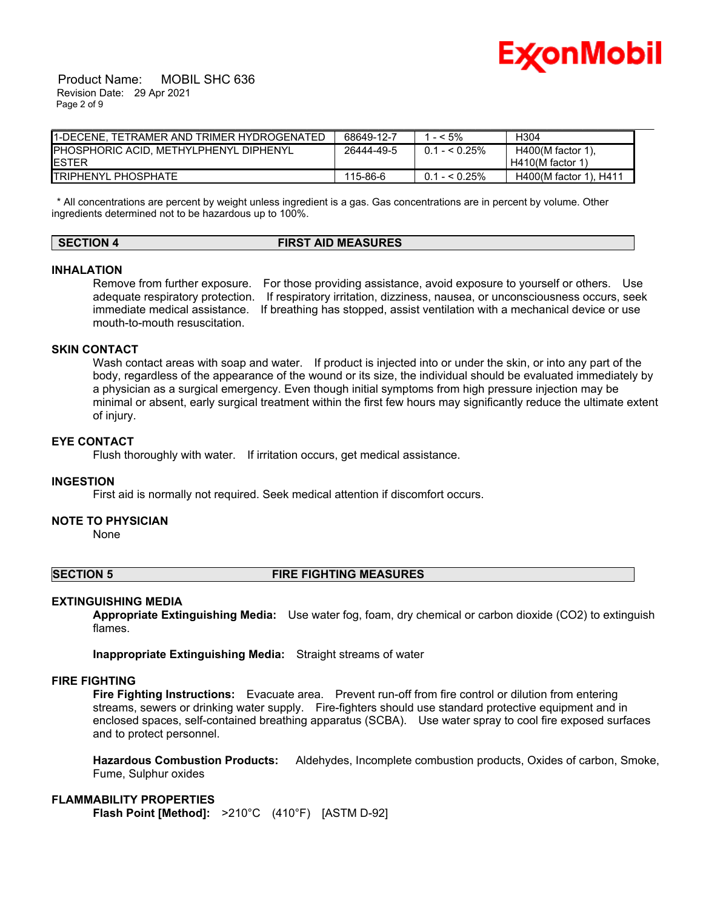

 Product Name: MOBIL SHC 636 Revision Date: 29 Apr 2021 Page 2 of 9

| I1-DECENE. TETRAMER AND TRIMER HYDROGENATED | 68649-12-7 | $- < 5\%$      | H304                   |
|---------------------------------------------|------------|----------------|------------------------|
| PHOSPHORIC ACID, METHYLPHENYL DIPHENYL      | 26444-49-5 | $0.1 - 5.25\%$ | $H400(M$ factor 1).    |
| IESTER                                      |            |                | $H410(M$ factor 1)     |
| <b>I</b> TRIPHENYL PHOSPHATE                | 115-86-6   | $0.1 - 5.25\%$ | H400(M factor 1), H411 |

 \* All concentrations are percent by weight unless ingredient is a gas. Gas concentrations are in percent by volume. Other ingredients determined not to be hazardous up to 100%.

# **SECTION 4 FIRST AID MEASURES**

#### **INHALATION**

Remove from further exposure. For those providing assistance, avoid exposure to yourself or others. Use adequate respiratory protection. If respiratory irritation, dizziness, nausea, or unconsciousness occurs, seek immediate medical assistance. If breathing has stopped, assist ventilation with a mechanical device or use mouth-to-mouth resuscitation.

# **SKIN CONTACT**

Wash contact areas with soap and water. If product is injected into or under the skin, or into any part of the body, regardless of the appearance of the wound or its size, the individual should be evaluated immediately by a physician as a surgical emergency. Even though initial symptoms from high pressure injection may be minimal or absent, early surgical treatment within the first few hours may significantly reduce the ultimate extent of injury.

# **EYE CONTACT**

Flush thoroughly with water. If irritation occurs, get medical assistance.

#### **INGESTION**

First aid is normally not required. Seek medical attention if discomfort occurs.

#### **NOTE TO PHYSICIAN**

None

#### **SECTION 5 FIRE FIGHTING MEASURES**

#### **EXTINGUISHING MEDIA**

**Appropriate Extinguishing Media:** Use water fog, foam, dry chemical or carbon dioxide (CO2) to extinguish flames.

**Inappropriate Extinguishing Media:** Straight streams of water

# **FIRE FIGHTING**

**Fire Fighting Instructions:** Evacuate area. Prevent run-off from fire control or dilution from entering streams, sewers or drinking water supply. Fire-fighters should use standard protective equipment and in enclosed spaces, self-contained breathing apparatus (SCBA). Use water spray to cool fire exposed surfaces and to protect personnel.

**Hazardous Combustion Products:** Aldehydes, Incomplete combustion products, Oxides of carbon, Smoke, Fume, Sulphur oxides

#### **FLAMMABILITY PROPERTIES**

**Flash Point [Method]:** >210°C (410°F) [ASTM D-92]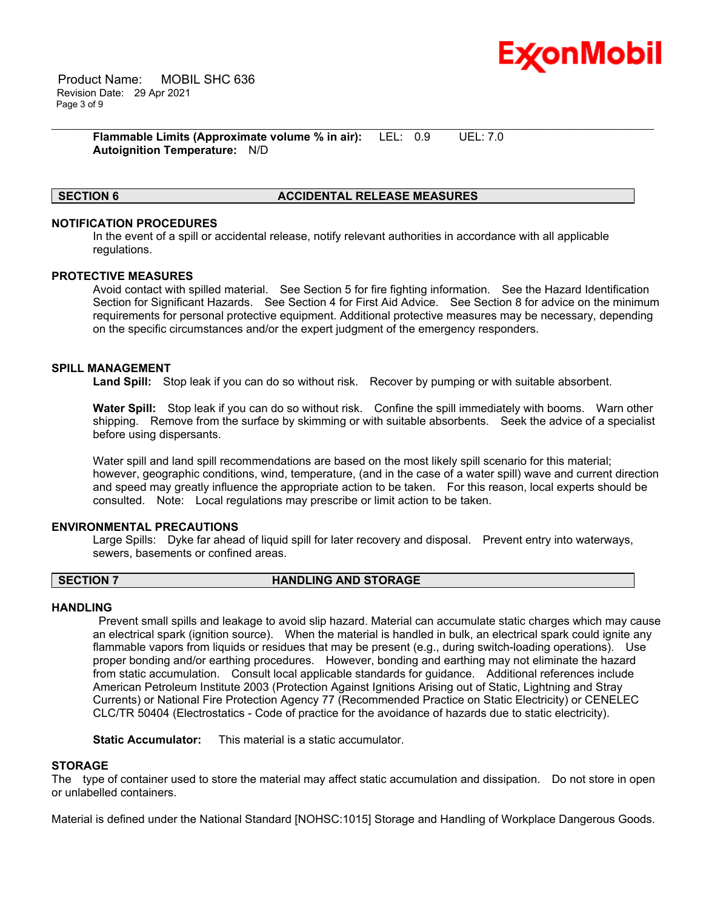

 Product Name: MOBIL SHC 636 Revision Date: 29 Apr 2021 Page 3 of 9

> **Flammable Limits (Approximate volume % in air):** LEL: 0.9 UEL: 7.0 **Autoignition Temperature:** N/D

# **SECTION 6 ACCIDENTAL RELEASE MEASURES**

# **NOTIFICATION PROCEDURES**

In the event of a spill or accidental release, notify relevant authorities in accordance with all applicable regulations.

\_\_\_\_\_\_\_\_\_\_\_\_\_\_\_\_\_\_\_\_\_\_\_\_\_\_\_\_\_\_\_\_\_\_\_\_\_\_\_\_\_\_\_\_\_\_\_\_\_\_\_\_\_\_\_\_\_\_\_\_\_\_\_\_\_\_\_\_\_\_\_\_\_\_\_\_\_\_\_\_\_\_\_\_\_\_\_\_\_\_\_\_\_\_\_\_\_\_\_\_\_\_\_\_\_\_\_\_\_\_\_\_\_\_\_\_\_\_

#### **PROTECTIVE MEASURES**

Avoid contact with spilled material. See Section 5 for fire fighting information. See the Hazard Identification Section for Significant Hazards. See Section 4 for First Aid Advice. See Section 8 for advice on the minimum requirements for personal protective equipment. Additional protective measures may be necessary, depending on the specific circumstances and/or the expert judgment of the emergency responders.

## **SPILL MANAGEMENT**

**Land Spill:** Stop leak if you can do so without risk. Recover by pumping or with suitable absorbent.

**Water Spill:** Stop leak if you can do so without risk. Confine the spill immediately with booms. Warn other shipping. Remove from the surface by skimming or with suitable absorbents. Seek the advice of a specialist before using dispersants.

Water spill and land spill recommendations are based on the most likely spill scenario for this material; however, geographic conditions, wind, temperature, (and in the case of a water spill) wave and current direction and speed may greatly influence the appropriate action to be taken. For this reason, local experts should be consulted. Note: Local regulations may prescribe or limit action to be taken.

### **ENVIRONMENTAL PRECAUTIONS**

Large Spills: Dyke far ahead of liquid spill for later recovery and disposal. Prevent entry into waterways, sewers, basements or confined areas.

# **SECTION 7 HANDLING AND STORAGE**

### **HANDLING**

 Prevent small spills and leakage to avoid slip hazard. Material can accumulate static charges which may cause an electrical spark (ignition source). When the material is handled in bulk, an electrical spark could ignite any flammable vapors from liquids or residues that may be present (e.g., during switch-loading operations). Use proper bonding and/or earthing procedures. However, bonding and earthing may not eliminate the hazard from static accumulation. Consult local applicable standards for guidance. Additional references include American Petroleum Institute 2003 (Protection Against Ignitions Arising out of Static, Lightning and Stray Currents) or National Fire Protection Agency 77 (Recommended Practice on Static Electricity) or CENELEC CLC/TR 50404 (Electrostatics - Code of practice for the avoidance of hazards due to static electricity).

**Static Accumulator:** This material is a static accumulator.

### **STORAGE**

The type of container used to store the material may affect static accumulation and dissipation. Do not store in open or unlabelled containers.

Material is defined under the National Standard [NOHSC:1015] Storage and Handling of Workplace Dangerous Goods.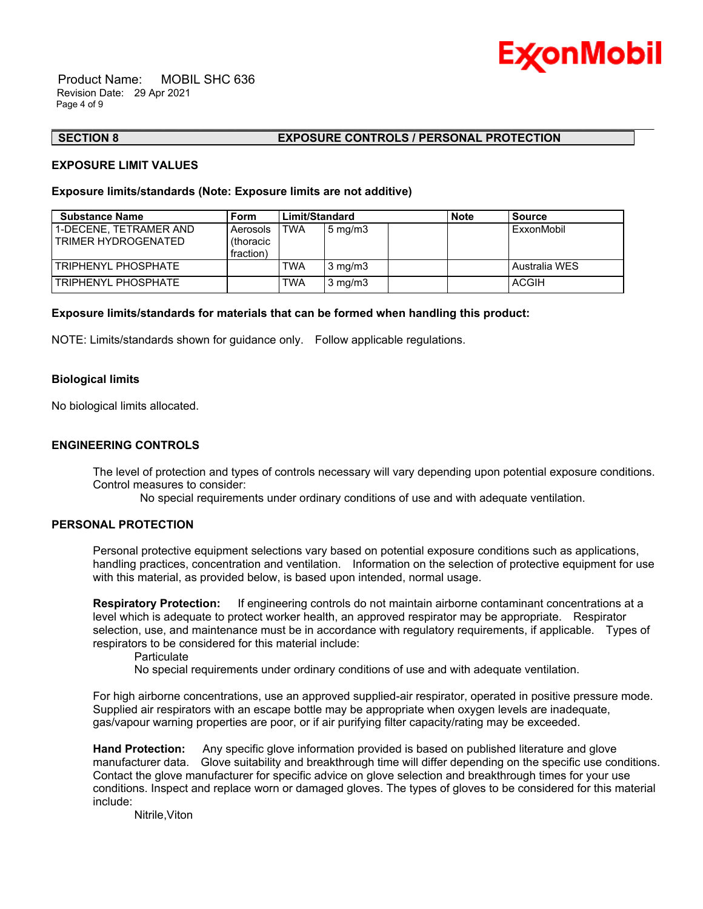

 Product Name: MOBIL SHC 636 Revision Date: 29 Apr 2021 Page 4 of 9

#### **SECTION 8 EXPOSURE CONTROLS / PERSONAL PROTECTION**

#### **EXPOSURE LIMIT VALUES**

### **Exposure limits/standards (Note: Exposure limits are not additive)**

| <b>Substance Name</b>                         | <b>Form</b>                        | Limit/Standard |                  | <b>Note</b> | Source        |
|-----------------------------------------------|------------------------------------|----------------|------------------|-------------|---------------|
| 1-DECENE. TETRAMER AND<br>TRIMER HYDROGENATED | Aerosols<br>(thoracic<br>fraction) | TWA            | $5 \text{ mg/m}$ |             | ExxonMobil    |
| TRIPHENYL PHOSPHATE                           |                                    | TWA            | $3 \text{ mg/m}$ |             | Australia WES |
| TRIPHENYL PHOSPHATE                           |                                    | TWA            | $3 \text{ mg/m}$ |             | <b>ACGIH</b>  |

\_\_\_\_\_\_\_\_\_\_\_\_\_\_\_\_\_\_\_\_\_\_\_\_\_\_\_\_\_\_\_\_\_\_\_\_\_\_\_\_\_\_\_\_\_\_\_\_\_\_\_\_\_\_\_\_\_\_\_\_\_\_\_\_\_\_\_\_\_\_\_\_\_\_\_\_\_\_\_\_\_\_\_\_\_\_\_\_\_\_\_\_\_\_\_\_\_\_\_\_\_\_\_\_\_\_\_\_\_\_\_\_\_\_\_\_\_\_

#### **Exposure limits/standards for materials that can be formed when handling this product:**

NOTE: Limits/standards shown for guidance only. Follow applicable regulations.

#### **Biological limits**

No biological limits allocated.

### **ENGINEERING CONTROLS**

The level of protection and types of controls necessary will vary depending upon potential exposure conditions. Control measures to consider:

No special requirements under ordinary conditions of use and with adequate ventilation.

### **PERSONAL PROTECTION**

Personal protective equipment selections vary based on potential exposure conditions such as applications, handling practices, concentration and ventilation. Information on the selection of protective equipment for use with this material, as provided below, is based upon intended, normal usage.

**Respiratory Protection:** If engineering controls do not maintain airborne contaminant concentrations at a level which is adequate to protect worker health, an approved respirator may be appropriate. Respirator selection, use, and maintenance must be in accordance with regulatory requirements, if applicable. Types of respirators to be considered for this material include:

**Particulate** 

No special requirements under ordinary conditions of use and with adequate ventilation.

For high airborne concentrations, use an approved supplied-air respirator, operated in positive pressure mode. Supplied air respirators with an escape bottle may be appropriate when oxygen levels are inadequate, gas/vapour warning properties are poor, or if air purifying filter capacity/rating may be exceeded.

**Hand Protection:** Any specific glove information provided is based on published literature and glove manufacturer data. Glove suitability and breakthrough time will differ depending on the specific use conditions. Contact the glove manufacturer for specific advice on glove selection and breakthrough times for your use conditions. Inspect and replace worn or damaged gloves. The types of gloves to be considered for this material include:

Nitrile,Viton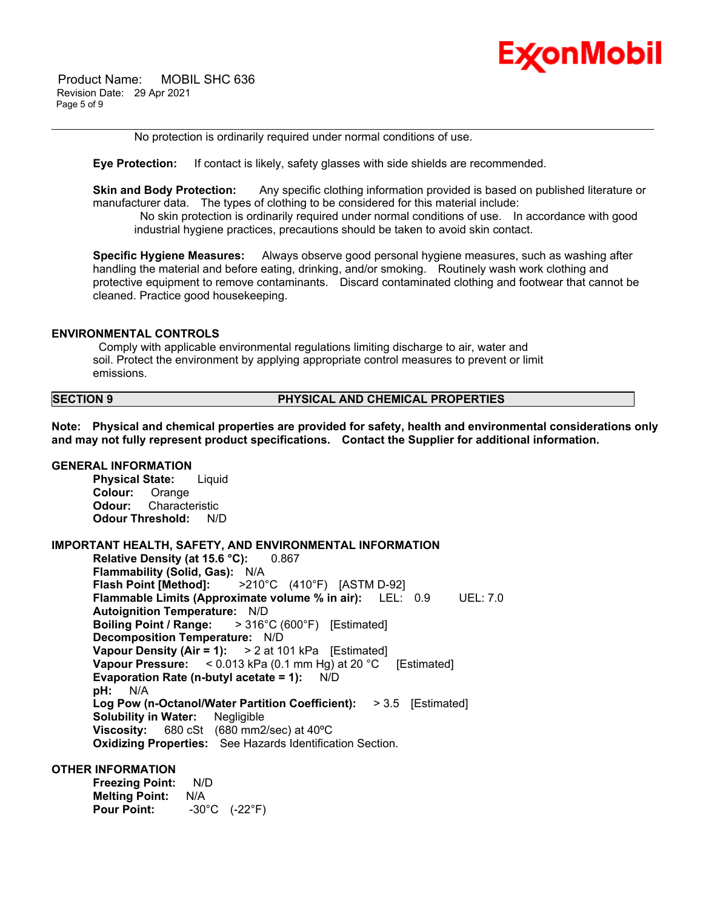

 Product Name: MOBIL SHC 636 Revision Date: 29 Apr 2021 Page 5 of 9

No protection is ordinarily required under normal conditions of use.

**Eye Protection:** If contact is likely, safety glasses with side shields are recommended.

**Skin and Body Protection:** Any specific clothing information provided is based on published literature or manufacturer data. The types of clothing to be considered for this material include:

\_\_\_\_\_\_\_\_\_\_\_\_\_\_\_\_\_\_\_\_\_\_\_\_\_\_\_\_\_\_\_\_\_\_\_\_\_\_\_\_\_\_\_\_\_\_\_\_\_\_\_\_\_\_\_\_\_\_\_\_\_\_\_\_\_\_\_\_\_\_\_\_\_\_\_\_\_\_\_\_\_\_\_\_\_\_\_\_\_\_\_\_\_\_\_\_\_\_\_\_\_\_\_\_\_\_\_\_\_\_\_\_\_\_\_\_\_\_

 No skin protection is ordinarily required under normal conditions of use. In accordance with good industrial hygiene practices, precautions should be taken to avoid skin contact.

**Specific Hygiene Measures:** Always observe good personal hygiene measures, such as washing after handling the material and before eating, drinking, and/or smoking. Routinely wash work clothing and protective equipment to remove contaminants. Discard contaminated clothing and footwear that cannot be cleaned. Practice good housekeeping.

#### **ENVIRONMENTAL CONTROLS**

 Comply with applicable environmental regulations limiting discharge to air, water and soil. Protect the environment by applying appropriate control measures to prevent or limit emissions.

**SECTION 9 PHYSICAL AND CHEMICAL PROPERTIES**

**Note: Physical and chemical properties are provided for safety, health and environmental considerations only and may not fully represent product specifications. Contact the Supplier for additional information.**

### **GENERAL INFORMATION**

**Physical State:** Liquid **Colour:** Orange **Odour:** Characteristic **Odour Threshold:** N/D

# **IMPORTANT HEALTH, SAFETY, AND ENVIRONMENTAL INFORMATION**

**Relative Density (at 15.6 °C):** 0.867 **Flammability (Solid, Gas):** N/A **Flash Point [Method]:** >210°C (410°F) [ASTM D-92] **Flammable Limits (Approximate volume % in air):** LEL: 0.9 UEL: 7.0 **Autoignition Temperature:** N/D **Boiling Point / Range:** > 316°C (600°F) [Estimated] **Decomposition Temperature:** N/D **Vapour Density (Air = 1):** > 2 at 101 kPa [Estimated] **Vapour Pressure:** < 0.013 kPa (0.1 mm Hg) at 20 °C [Estimated] **Evaporation Rate (n-butyl acetate = 1):** N/D **pH:** N/A **Log Pow (n-Octanol/Water Partition Coefficient):** > 3.5 [Estimated] **Solubility in Water:** Negligible **Viscosity:** 680 cSt (680 mm2/sec) at 40ºC **Oxidizing Properties:** See Hazards Identification Section.

# **OTHER INFORMATION**

**Freezing Point:** N/D **Melting Point:** N/A **Pour Point:** -30°C (-22°F)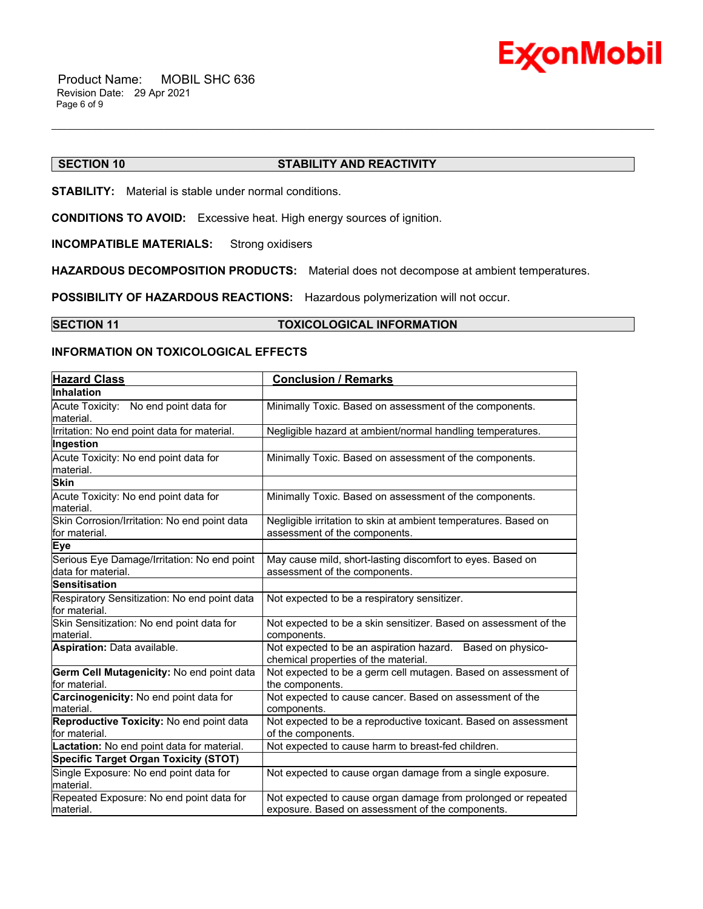

# **SECTION 10 STABILITY AND REACTIVITY**

\_\_\_\_\_\_\_\_\_\_\_\_\_\_\_\_\_\_\_\_\_\_\_\_\_\_\_\_\_\_\_\_\_\_\_\_\_\_\_\_\_\_\_\_\_\_\_\_\_\_\_\_\_\_\_\_\_\_\_\_\_\_\_\_\_\_\_\_\_\_\_\_\_\_\_\_\_\_\_\_\_\_\_\_\_\_\_\_\_\_\_\_\_\_\_\_\_\_\_\_\_\_\_\_\_\_\_\_\_\_\_\_\_\_\_\_\_\_

**STABILITY:** Material is stable under normal conditions.

**CONDITIONS TO AVOID:** Excessive heat. High energy sources of ignition.

**INCOMPATIBLE MATERIALS:** Strong oxidisers

**HAZARDOUS DECOMPOSITION PRODUCTS:** Material does not decompose at ambient temperatures.

**POSSIBILITY OF HAZARDOUS REACTIONS:** Hazardous polymerization will not occur.

**SECTION 11 TOXICOLOGICAL INFORMATION** 

# **INFORMATION ON TOXICOLOGICAL EFFECTS**

| <b>Hazard Class</b>                                               | <b>Conclusion / Remarks</b>                                                                                       |
|-------------------------------------------------------------------|-------------------------------------------------------------------------------------------------------------------|
| <b>Inhalation</b>                                                 |                                                                                                                   |
| Acute Toxicity: No end point data for<br>material.                | Minimally Toxic. Based on assessment of the components.                                                           |
| Irritation: No end point data for material.                       | Negligible hazard at ambient/normal handling temperatures.                                                        |
| Ingestion                                                         |                                                                                                                   |
| Acute Toxicity: No end point data for<br>material.                | Minimally Toxic. Based on assessment of the components.                                                           |
| <b>Skin</b>                                                       |                                                                                                                   |
| Acute Toxicity: No end point data for<br>material.                | Minimally Toxic. Based on assessment of the components.                                                           |
| Skin Corrosion/Irritation: No end point data<br>for material.     | Negligible irritation to skin at ambient temperatures. Based on<br>assessment of the components.                  |
| Eye                                                               |                                                                                                                   |
| Serious Eye Damage/Irritation: No end point<br>data for material. | May cause mild, short-lasting discomfort to eyes. Based on<br>assessment of the components.                       |
| <b>Sensitisation</b>                                              |                                                                                                                   |
| Respiratory Sensitization: No end point data<br>for material.     | Not expected to be a respiratory sensitizer.                                                                      |
| Skin Sensitization: No end point data for<br>material.            | Not expected to be a skin sensitizer. Based on assessment of the<br>components.                                   |
| Aspiration: Data available.                                       | Not expected to be an aspiration hazard. Based on physico-<br>chemical properties of the material.                |
| Germ Cell Mutagenicity: No end point data<br>for material.        | Not expected to be a germ cell mutagen. Based on assessment of<br>the components.                                 |
| Carcinogenicity: No end point data for<br>material.               | Not expected to cause cancer. Based on assessment of the<br>components.                                           |
| Reproductive Toxicity: No end point data<br>for material.         | Not expected to be a reproductive toxicant. Based on assessment<br>of the components.                             |
| Lactation: No end point data for material.                        | Not expected to cause harm to breast-fed children.                                                                |
| <b>Specific Target Organ Toxicity (STOT)</b>                      |                                                                                                                   |
| Single Exposure: No end point data for<br>material.               | Not expected to cause organ damage from a single exposure.                                                        |
| Repeated Exposure: No end point data for<br>material.             | Not expected to cause organ damage from prolonged or repeated<br>exposure. Based on assessment of the components. |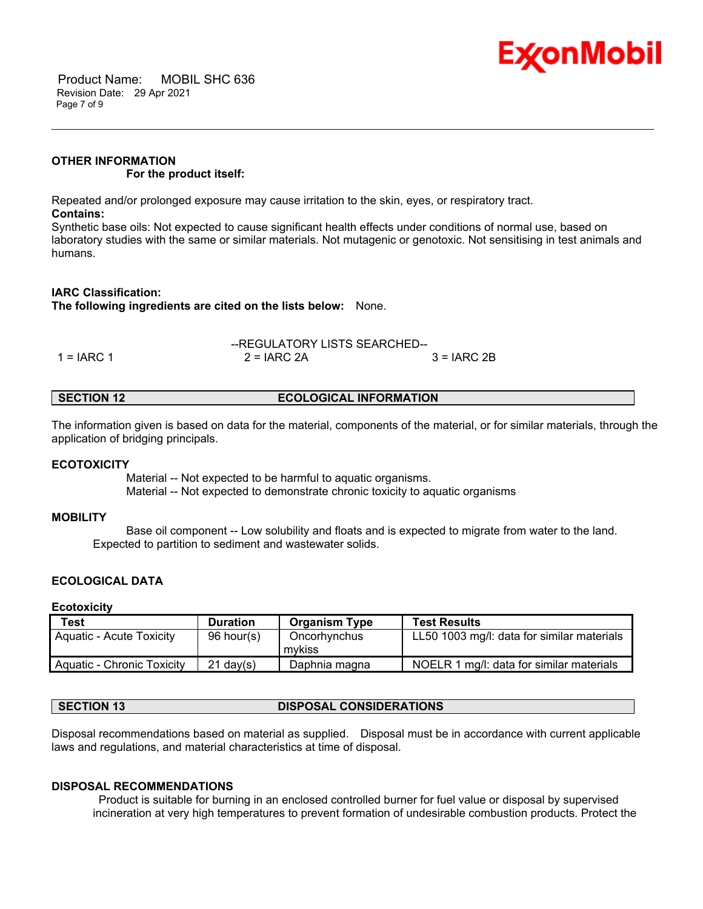

 Product Name: MOBIL SHC 636 Revision Date: 29 Apr 2021 Page 7 of 9

# **OTHER INFORMATION For the product itself:**

Repeated and/or prolonged exposure may cause irritation to the skin, eyes, or respiratory tract. **Contains:**

Synthetic base oils: Not expected to cause significant health effects under conditions of normal use, based on laboratory studies with the same or similar materials. Not mutagenic or genotoxic. Not sensitising in test animals and humans.

\_\_\_\_\_\_\_\_\_\_\_\_\_\_\_\_\_\_\_\_\_\_\_\_\_\_\_\_\_\_\_\_\_\_\_\_\_\_\_\_\_\_\_\_\_\_\_\_\_\_\_\_\_\_\_\_\_\_\_\_\_\_\_\_\_\_\_\_\_\_\_\_\_\_\_\_\_\_\_\_\_\_\_\_\_\_\_\_\_\_\_\_\_\_\_\_\_\_\_\_\_\_\_\_\_\_\_\_\_\_\_\_\_\_\_\_\_\_

# **IARC Classification:**

**The following ingredients are cited on the lists below:** None.

|              | --REGULATORY LISTS SEARCHED-- |               |
|--------------|-------------------------------|---------------|
| $1 = IARC 1$ | $2 = IARC 2A$                 | $3 = IARC 2B$ |

| <b>ECOLOGICAL INFORMATION</b><br><b>SECTION 12</b> |
|----------------------------------------------------|
|----------------------------------------------------|

The information given is based on data for the material, components of the material, or for similar materials, through the application of bridging principals.

#### **ECOTOXICITY**

 Material -- Not expected to be harmful to aquatic organisms. Material -- Not expected to demonstrate chronic toxicity to aquatic organisms

# **MOBILITY**

 Base oil component -- Low solubility and floats and is expected to migrate from water to the land. Expected to partition to sediment and wastewater solids.

# **ECOLOGICAL DATA**

#### **Ecotoxicity**

| Test                         | <b>Duration</b> | <b>Organism Type</b>   | <b>Test Results</b>                        |
|------------------------------|-----------------|------------------------|--------------------------------------------|
| Aquatic - Acute Toxicity     | 96 hour(s)      | Oncorhynchus<br>mvkiss | LL50 1003 mg/l: data for similar materials |
| l Aguatic - Chronic Toxicity | $21$ dav(s)     | Daphnia magna          | NOELR 1 mg/l: data for similar materials   |

# **SECTION 13 DISPOSAL CONSIDERATIONS**

Disposal recommendations based on material as supplied. Disposal must be in accordance with current applicable laws and regulations, and material characteristics at time of disposal.

#### **DISPOSAL RECOMMENDATIONS**

 Product is suitable for burning in an enclosed controlled burner for fuel value or disposal by supervised incineration at very high temperatures to prevent formation of undesirable combustion products. Protect the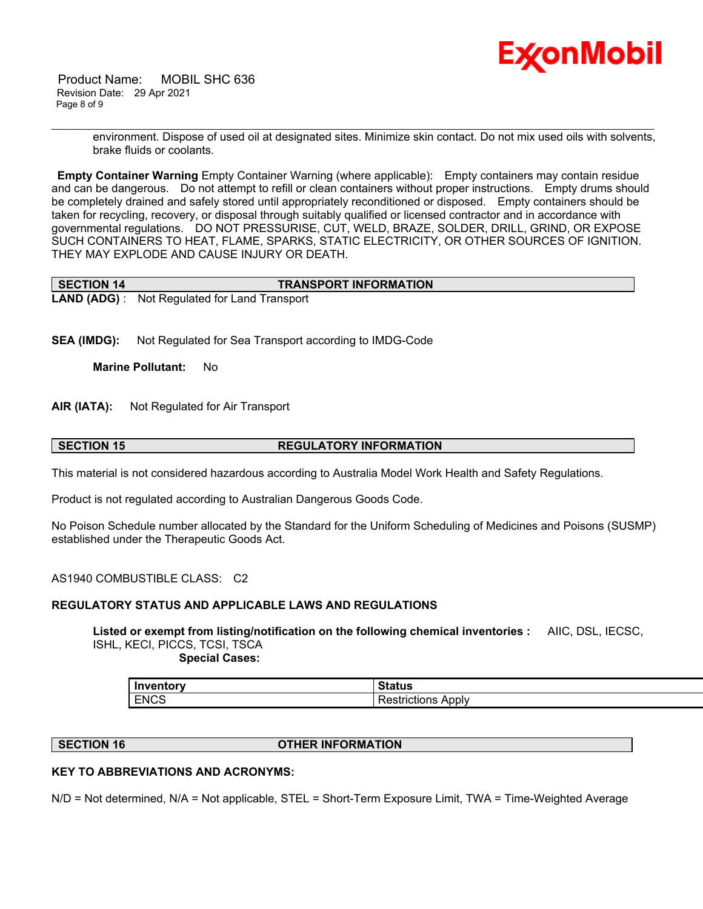

 Product Name: MOBIL SHC 636 Revision Date: 29 Apr 2021 Page 8 of 9

> environment. Dispose of used oil at designated sites. Minimize skin contact. Do not mix used oils with solvents, brake fluids or coolants.

**Empty Container Warning** Empty Container Warning (where applicable): Empty containers may contain residue and can be dangerous. Do not attempt to refill or clean containers without proper instructions. Empty drums should be completely drained and safely stored until appropriately reconditioned or disposed. Empty containers should be taken for recycling, recovery, or disposal through suitably qualified or licensed contractor and in accordance with governmental regulations. DO NOT PRESSURISE, CUT, WELD, BRAZE, SOLDER, DRILL, GRIND, OR EXPOSE SUCH CONTAINERS TO HEAT, FLAME, SPARKS, STATIC ELECTRICITY, OR OTHER SOURCES OF IGNITION. THEY MAY EXPLODE AND CAUSE INJURY OR DEATH.

\_\_\_\_\_\_\_\_\_\_\_\_\_\_\_\_\_\_\_\_\_\_\_\_\_\_\_\_\_\_\_\_\_\_\_\_\_\_\_\_\_\_\_\_\_\_\_\_\_\_\_\_\_\_\_\_\_\_\_\_\_\_\_\_\_\_\_\_\_\_\_\_\_\_\_\_\_\_\_\_\_\_\_\_\_\_\_\_\_\_\_\_\_\_\_\_\_\_\_\_\_\_\_\_\_\_\_\_\_\_\_\_\_\_\_\_\_\_

| <b>SECTION 14</b> | <b>TRANSPORT INFORMATION</b>                         |
|-------------------|------------------------------------------------------|
|                   | <b>LAND (ADG)</b> : Not Regulated for Land Transport |

**SEA (IMDG):** Not Regulated for Sea Transport according to IMDG-Code

**Marine Pollutant:** No

**AIR (IATA):** Not Regulated for Air Transport

## **SECTION 15 REGULATORY INFORMATION**

This material is not considered hazardous according to Australia Model Work Health and Safety Regulations.

Product is not regulated according to Australian Dangerous Goods Code.

No Poison Schedule number allocated by the Standard for the Uniform Scheduling of Medicines and Poisons (SUSMP) established under the Therapeutic Goods Act.

AS1940 COMBUSTIBLE CLASS: C2

# **REGULATORY STATUS AND APPLICABLE LAWS AND REGULATIONS**

**Listed or exempt from listing/notification on the following chemical inventories :** AIIC, DSL, IECSC, ISHL, KECI, PICCS, TCSI, TSCA

 **Special Cases:**

| Inver       | . .                        |
|-------------|----------------------------|
| $-0.000$    | $-110$                     |
| ∴rillOr     | วเสเนธ                     |
| <b>ENCS</b> | Apply<br>.<br>estrictions: |

# **SECTION 16 OTHER INFORMATION**

### **KEY TO ABBREVIATIONS AND ACRONYMS:**

N/D = Not determined, N/A = Not applicable, STEL = Short-Term Exposure Limit, TWA = Time-Weighted Average